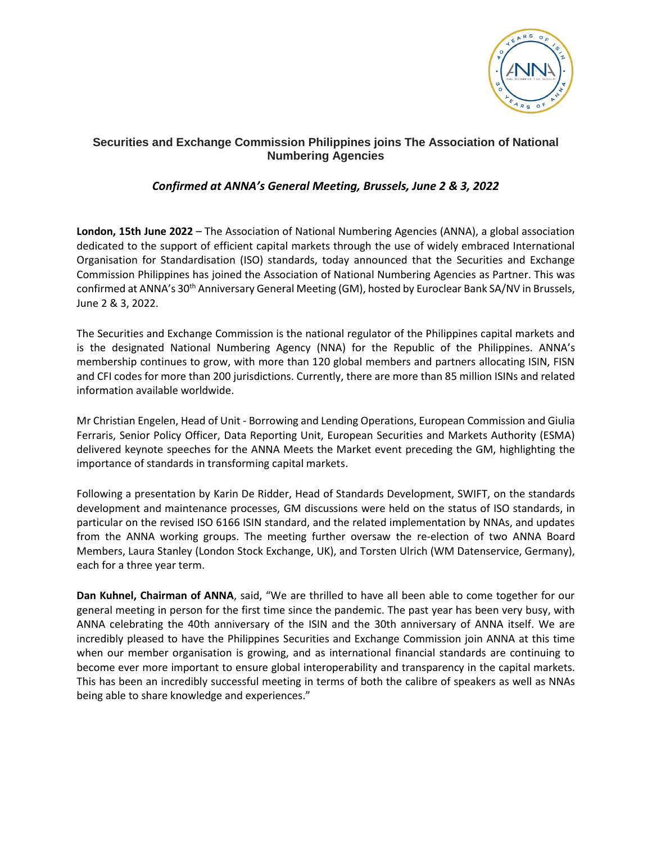

## **Securities and Exchange Commission Philippines joins The Association of National Numbering Agencies**

## *Confirmed at ANNA's General Meeting, Brussels, June 2 & 3, 2022*

**London, 15th June 2022** – The Association of National Numbering Agencies (ANNA), a global association dedicated to the support of efficient capital markets through the use of widely embraced International Organisation for Standardisation (ISO) standards, today announced that the Securities and Exchange Commission Philippines has joined the Association of National Numbering Agencies as Partner. This was confirmed at ANNA's 30<sup>th</sup> Anniversary General Meeting (GM), hosted by Euroclear Bank SA/NV in Brussels, June 2 & 3, 2022.

The Securities and Exchange Commission is the national regulator of the Philippines capital markets and is the designated National Numbering Agency (NNA) for the Republic of the Philippines. ANNA's membership continues to grow, with more than 120 global members and partners allocating ISIN, FISN and CFI codes for more than 200 jurisdictions. Currently, there are more than 85 million ISINs and related information available worldwide.

Mr Christian Engelen, Head of Unit - Borrowing and Lending Operations, European Commission and Giulia Ferraris, Senior Policy Officer, Data Reporting Unit, European Securities and Markets Authority (ESMA) delivered keynote speeches for the ANNA Meets the Market event preceding the GM, highlighting the importance of standards in transforming capital markets.

Following a presentation by Karin De Ridder, Head of Standards Development, SWIFT, on the standards development and maintenance processes, GM discussions were held on the status of ISO standards, in particular on the revised ISO 6166 ISIN standard, and the related implementation by NNAs, and updates from the ANNA working groups. The meeting further oversaw the re-election of two ANNA Board Members, Laura Stanley (London Stock Exchange, UK), and Torsten Ulrich (WM Datenservice, Germany), each for a three year term.

**Dan Kuhnel, Chairman of ANNA**, said, "We are thrilled to have all been able to come together for our general meeting in person for the first time since the pandemic. The past year has been very busy, with ANNA celebrating the 40th anniversary of the ISIN and the 30th anniversary of ANNA itself. We are incredibly pleased to have the Philippines Securities and Exchange Commission join ANNA at this time when our member organisation is growing, and as international financial standards are continuing to become ever more important to ensure global interoperability and transparency in the capital markets. This has been an incredibly successful meeting in terms of both the calibre of speakers as well as NNAs being able to share knowledge and experiences."